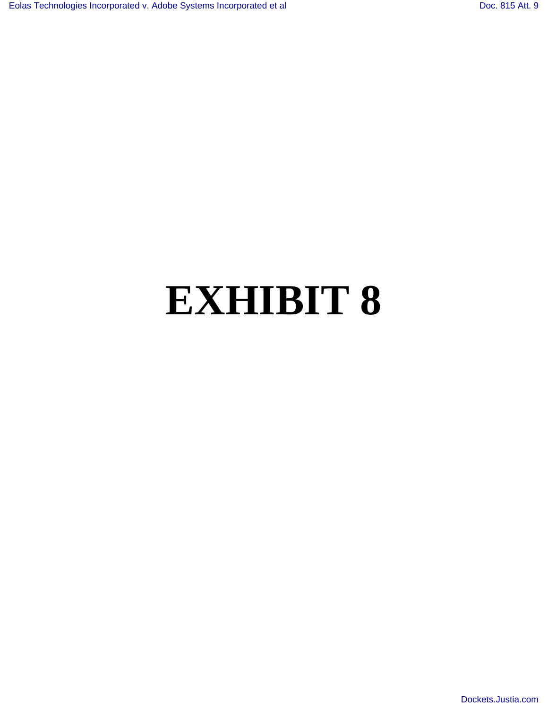## **EXHIBIT 8**

[Dockets.Justia.com](http://dockets.justia.com/)